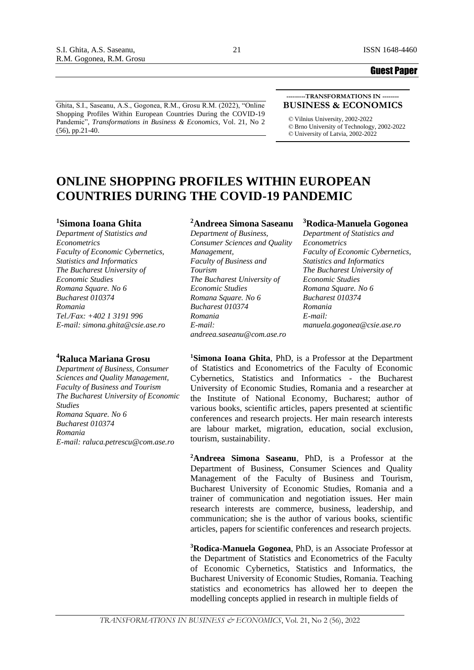Ghita, S.I., Saseanu, A.S., Gogonea, R.M., Grosu R.M. (2022), "Online Shopping Profiles Within European Countries During the COVID-19 Pandemic", *Transformations in Business & Economics*, Vol. 21, No 2 (56), pp.21-40.

#### **---------TRANSFORMATIONS IN -------- BUSINESS & ECONOMICS**

*©* Vilnius University, 2002-2022 *©* Brno University of Technology, 2002-2022 *©* University of Latvia, 2002-2022

# **ONLINE SHOPPING PROFILES WITHIN EUROPEAN COUNTRIES DURING THE COVID-19 PANDEMIC**

### **<sup>1</sup>Simona Ioana Ghita**

*Department of Statistics and Econometrics Faculty of Economic Cybernetics, Statistics and Informatics The Bucharest University of Economic Studies Romana Square. No 6 Bucharest 010374 Romania Tel./Fax: +402 1 3191 996 E-mail: simona.ghita@csie.ase.ro*

### **<sup>4</sup>Raluca Mariana Grosu**

*Department of Business, Consumer Sciences and Quality Management, Faculty of Business and Tourism The Bucharest University of Economic Studies Romana Square. No 6 Bucharest 010374 Romania E-mail: raluca.petrescu@com.ase.ro*

# **<sup>2</sup>Andreea Simona Saseanu**

*Department of Business, Consumer Sciences and Quality Management, Faculty of Business and Tourism The Bucharest University of Economic Studies Romana Square. No 6 Bucharest 010374 Romania E-mail: andreea.saseanu@com.ase.ro*

### **<sup>3</sup>Rodica-Manuela Gogonea**

*Department of Statistics and Econometrics Faculty of Economic Cybernetics, Statistics and Informatics The Bucharest University of Economic Studies Romana Square. No 6 Bucharest 010374 Romania E-mail: manuela.gogonea@csie.ase.ro*

**<sup>1</sup>Simona Ioana Ghita**, PhD, is a Professor at the Department of Statistics and Econometrics of the Faculty of Economic Cybernetics, Statistics and Informatics - the Bucharest University of Economic Studies, Romania and a researcher at the Institute of National Economy, Bucharest; author of various books, scientific articles, papers presented at scientific conferences and research projects. Her main research interests are labour market, migration, education, social exclusion, tourism, sustainability.

**<sup>2</sup>Andreea Simona Saseanu**, PhD, is a Professor at the Department of Business, Consumer Sciences and Quality Management of the Faculty of Business and Tourism, Bucharest University of Economic Studies, Romania and a trainer of communication and negotiation issues. Her main research interests are commerce, business, leadership, and communication; she is the author of various books, scientific articles, papers for scientific conferences and research projects.

**<sup>3</sup>Rodica-Manuela Gogonea**, PhD, is an Associate Professor at the Department of Statistics and Econometrics of the Faculty of Economic Cybernetics, Statistics and Informatics, the Bucharest University of Economic Studies, Romania. Teaching statistics and econometrics has allowed her to deepen the modelling concepts applied in research in multiple fields of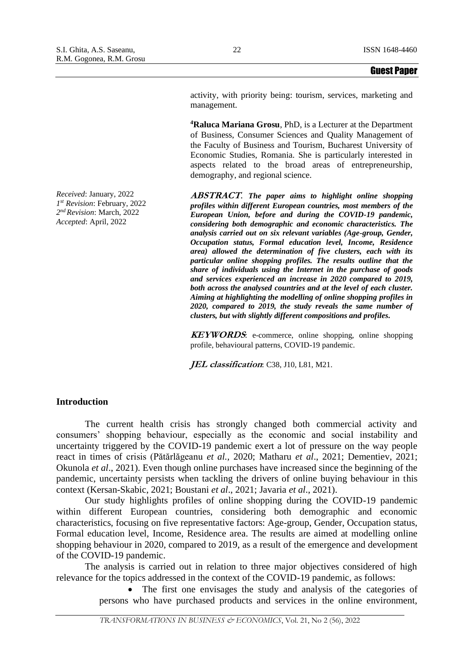activity, with priority being: tourism, services, marketing and management.

**<sup>4</sup>Raluca Mariana Grosu**, PhD, is a Lecturer at the Department of Business, Consumer Sciences and Quality Management of the Faculty of Business and Tourism, Bucharest University of Economic Studies, Romania. She is particularly interested in aspects related to the broad areas of entrepreneurship, demography, and regional science.

**ABSTRACT**. *The paper aims to highlight online shopping profiles within different European countries, most members of the European Union, before and during the COVID-19 pandemic, considering both demographic and economic characteristics. The analysis carried out on six relevant variables (Age-group, Gender, Occupation status, Formal education level, Income, Residence area) allowed the determination of five clusters, each with its particular online shopping profiles. The results outline that the share of individuals using the Internet in the purchase of goods and services experienced an increase in 2020 compared to 2019, both across the analysed countries and at the level of each cluster. Aiming at highlighting the modelling of online shopping profiles in 2020, compared to 2019, the study reveals the same number of clusters, but with slightly different compositions and profiles.*

**KEYWORDS**: e-commerce, online shopping, online shopping profile, behavioural patterns, COVID-19 pandemic.

**JEL classification**: C38, J10, L81, M21.

# **Introduction**

The current health crisis has strongly changed both commercial activity and consumers' shopping behaviour, especially as the economic and social instability and uncertainty triggered by the COVID-19 pandemic exert a lot of pressure on the way people react in times of crisis (Pătărlăgeanu *et al.,* 2020; Matharu *et al*., 2021; Dementiev, 2021; Okunola *et al*., 2021). Even though online purchases have increased since the beginning of the pandemic, uncertainty persists when tackling the drivers of online buying behaviour in this context (Kersan-Skabic, 2021; Boustani *et al*., 2021; Javaria *et al*., 2021).

Our study highlights profiles of online shopping during the COVID-19 pandemic within different European countries, considering both demographic and economic characteristics, focusing on five representative factors: Age-group, Gender, Occupation status, Formal education level, Income, Residence area. The results are aimed at modelling online shopping behaviour in 2020, compared to 2019, as a result of the emergence and development of the COVID-19 pandemic.

The analysis is carried out in relation to three major objectives considered of high relevance for the topics addressed in the context of the COVID-19 pandemic, as follows:

> The first one envisages the study and analysis of the categories of persons who have purchased products and services in the online environment,

*TRANSFORMATIONS IN BUSINESS & ECONOMICS*, Vol. 21, No 2 (56), 2022

*Received*: January, 2022 *1 st Revision*: February, 2022 *2 nd Revision*: March, 2022 *Accepted*: April, 2022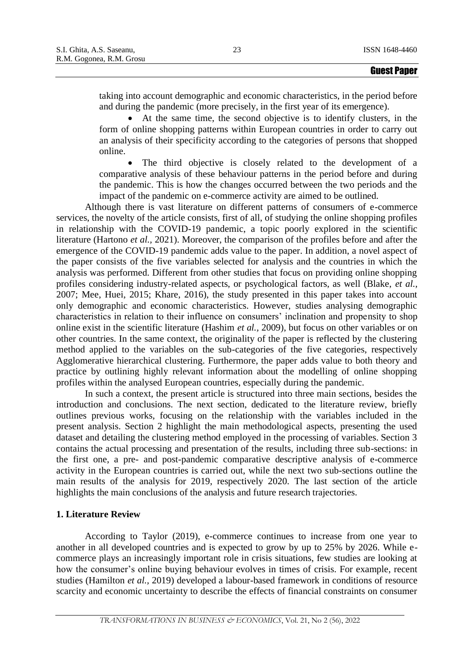taking into account demographic and economic characteristics, in the period before and during the pandemic (more precisely, in the first year of its emergence).

• At the same time, the second objective is to identify clusters, in the form of online shopping patterns within European countries in order to carry out an analysis of their specificity according to the categories of persons that shopped online.

• The third objective is closely related to the development of a comparative analysis of these behaviour patterns in the period before and during the pandemic. This is how the changes occurred between the two periods and the impact of the pandemic on e-commerce activity are aimed to be outlined.

Although there is vast literature on different patterns of consumers of e-commerce services, the novelty of the article consists, first of all, of studying the online shopping profiles in relationship with the COVID-19 pandemic, a topic poorly explored in the scientific literature (Hartono *et al.,* 2021). Moreover, the comparison of the profiles before and after the emergence of the COVID-19 pandemic adds value to the paper. In addition, a novel aspect of the paper consists of the five variables selected for analysis and the countries in which the analysis was performed. Different from other studies that focus on providing online shopping profiles considering industry-related aspects, or psychological factors, as well (Blake, *et al.,* 2007; Mee, Huei, 2015; Khare, 2016), the study presented in this paper takes into account only demographic and economic characteristics. However, studies analysing demographic characteristics in relation to their influence on consumers' inclination and propensity to shop online exist in the scientific literature (Hashim *et al.,* 2009), but focus on other variables or on other countries. In the same context, the originality of the paper is reflected by the clustering method applied to the variables on the sub-categories of the five categories, respectively Agglomerative hierarchical clustering. Furthermore, the paper adds value to both theory and practice by outlining highly relevant information about the modelling of online shopping profiles within the analysed European countries, especially during the pandemic.

In such a context, the present article is structured into three main sections, besides the introduction and conclusions. The next section, dedicated to the literature review, briefly outlines previous works, focusing on the relationship with the variables included in the present analysis. Section 2 highlight the main methodological aspects, presenting the used dataset and detailing the clustering method employed in the processing of variables. Section 3 contains the actual processing and presentation of the results, including three sub-sections: in the first one, a pre- and post-pandemic comparative descriptive analysis of e-commerce activity in the European countries is carried out, while the next two sub-sections outline the main results of the analysis for 2019, respectively 2020. The last section of the article highlights the main conclusions of the analysis and future research trajectories.

### **1. Literature Review**

According to Taylor (2019), e-commerce continues to increase from one year to another in all developed countries and is expected to grow by up to 25% by 2026. While ecommerce plays an increasingly important role in crisis situations, few studies are looking at how the consumer's online buying behaviour evolves in times of crisis. For example, recent studies (Hamilton *et al.,* 2019) developed a labour-based framework in conditions of resource scarcity and economic uncertainty to describe the effects of financial constraints on consumer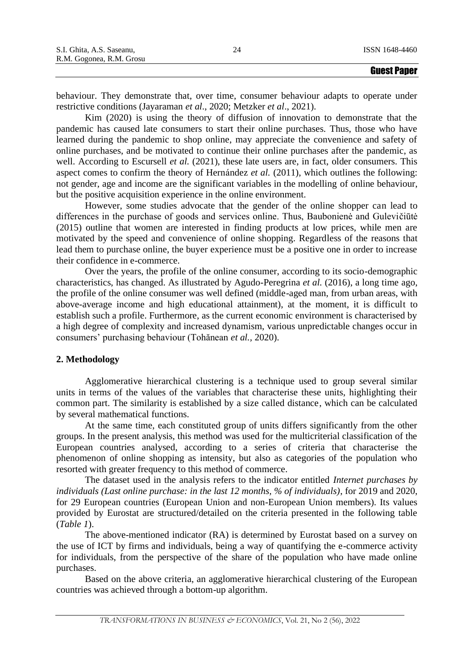behaviour. They demonstrate that, over time, consumer behaviour adapts to operate under restrictive conditions (Jayaraman *et al*., 2020; Metzker *et al*., 2021).

Kim (2020) is using the theory of diffusion of innovation to demonstrate that the pandemic has caused late consumers to start their online purchases. Thus, those who have learned during the pandemic to shop online, may appreciate the convenience and safety of online purchases, and be motivated to continue their online purchases after the pandemic, as well. According to Escursell *et al.* (2021), these late users are, in fact, older consumers. This aspect comes to confirm the theory of Hernández *et al.* (2011), which outlines the following: not gender, age and income are the significant variables in the modelling of online behaviour, but the positive acquisition experience in the online environment.

However, some studies advocate that the gender of the online shopper can lead to differences in the purchase of goods and services online. Thus, Baubonienė and Gulevičiūtė (2015) outline that women are interested in finding products at low prices, while men are motivated by the speed and convenience of online shopping. Regardless of the reasons that lead them to purchase online, the buyer experience must be a positive one in order to increase their confidence in e-commerce.

Over the years, the profile of the online consumer, according to its socio-demographic characteristics, has changed. As illustrated by Agudo-Peregrina *et al.* (2016), a long time ago, the profile of the online consumer was well defined (middle-aged man, from urban areas, with above-average income and high educational attainment), at the moment, it is difficult to establish such a profile. Furthermore, as the current economic environment is characterised by a high degree of complexity and increased dynamism, various unpredictable changes occur in consumers' purchasing behaviour (Tohănean *et al.,* 2020).

### **2. Methodology**

Agglomerative hierarchical clustering is a technique used to group several similar units in terms of the values of the variables that characterise these units, highlighting their common part. The similarity is established by a size called distance, which can be calculated by several mathematical functions.

At the same time, each constituted group of units differs significantly from the other groups. In the present analysis, this method was used for the multicriterial classification of the European countries analysed, according to a series of criteria that characterise the phenomenon of online shopping as intensity, but also as categories of the population who resorted with greater frequency to this method of commerce.

The dataset used in the analysis refers to the indicator entitled *Internet purchases by individuals (Last online purchase: in the last 12 months, % of individuals)*, for 2019 and 2020, for 29 European countries (European Union and non-European Union members). Its values provided by Eurostat are structured/detailed on the criteria presented in the following table (*Table 1*).

The above-mentioned indicator (RA) is determined by Eurostat based on a survey on the use of ICT by firms and individuals, being a way of quantifying the e-commerce activity for individuals, from the perspective of the share of the population who have made online purchases.

Based on the above criteria, an agglomerative hierarchical clustering of the European countries was achieved through a bottom-up algorithm.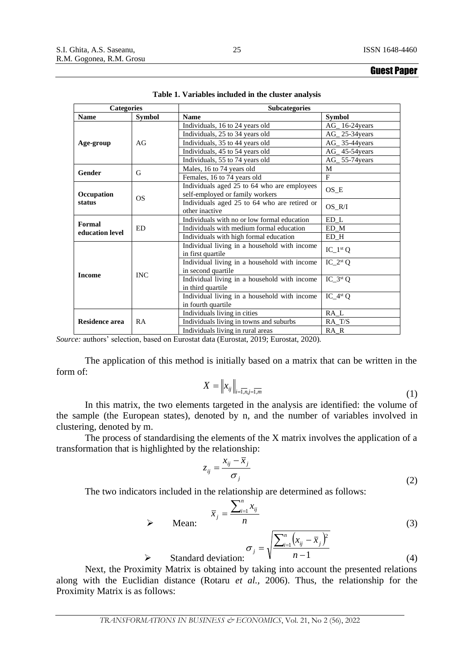| <b>Categories</b>                      |               | <b>Subcategories</b>                                                           |                                |  |  |  |  |
|----------------------------------------|---------------|--------------------------------------------------------------------------------|--------------------------------|--|--|--|--|
| <b>Name</b>                            | <b>Symbol</b> | <b>Name</b>                                                                    | <b>Symbol</b>                  |  |  |  |  |
|                                        |               | Individuals, 16 to 24 years old                                                | $AG_{16-24 years}$             |  |  |  |  |
|                                        |               | Individuals, 25 to 34 years old                                                | AG 25-34 years                 |  |  |  |  |
| Age-group                              | AG            | Individuals, 35 to 44 years old                                                | $AG_{2}$ 35-44 years           |  |  |  |  |
|                                        |               | Individuals, 45 to 54 years old                                                | AG_45-54years                  |  |  |  |  |
|                                        |               | Individuals, 55 to 74 years old                                                | AG_55-74years                  |  |  |  |  |
|                                        |               | Males, 16 to 74 years old                                                      | M                              |  |  |  |  |
| Gender                                 | G             | Females, 16 to 74 years old                                                    | $F_{\rm}$                      |  |  |  |  |
| Occupation                             |               | Individuals aged 25 to 64 who are employees<br>self-employed or family workers | $OS$ <sub><math>E</math></sub> |  |  |  |  |
| status                                 | OS            | Individuals aged 25 to 64 who are retired or<br>other inactive                 | $OS_R/I$                       |  |  |  |  |
|                                        |               | Individuals with no or low formal education                                    | $ED_L$                         |  |  |  |  |
| Formal<br><b>ED</b><br>education level |               | Individuals with medium formal education                                       | ED M                           |  |  |  |  |
|                                        |               | Individuals with high formal education                                         | $ED$ <sub>H</sub>              |  |  |  |  |
|                                        |               | Individual living in a household with income<br>in first quartile              | $IC_1^{st}Q$                   |  |  |  |  |
|                                        |               | Individual living in a household with income<br>in second quartile             | $IC_2^{st}Q$                   |  |  |  |  |
| <b>Income</b>                          | <b>INC</b>    | Individual living in a household with income<br>in third quartile              | $IC_3^{st}Q$                   |  |  |  |  |
|                                        |               | Individual living in a household with income<br>in fourth quartile             | $IC_4st Q$                     |  |  |  |  |
|                                        |               | Individuals living in cities                                                   | RA L                           |  |  |  |  |
| <b>Residence area</b>                  | RA            | Individuals living in towns and suburbs                                        | $RA_T/S$                       |  |  |  |  |
|                                        |               | Individuals living in rural areas                                              | RA R                           |  |  |  |  |

|  | Table 1. Variables included in the cluster analysis |  |  |  |  |
|--|-----------------------------------------------------|--|--|--|--|
|--|-----------------------------------------------------|--|--|--|--|

*Source:* authors' selection, based on Eurostat data (Eurostat, 2019; Eurostat, 2020).

The application of this method is initially based on a matrix that can be written in the form of:

$$
X = \left\|x_{ij}\right\|_{i=\overline{1,n},j=\overline{1,m}}\tag{1}
$$

In this matrix, the two elements targeted in the analysis are identified: the volume of the sample (the European states), denoted by n, and the number of variables involved in clustering, denoted by m.

The process of standardising the elements of the X matrix involves the application of a transformation that is highlighted by the relationship:

$$
z_{ij} = \frac{x_{ij} - \bar{x}_j}{\sigma_j} \tag{2}
$$

The two indicators included in the relationship are determined as follows:

➢ Standard deviation:

$$
\bar{x}_j = \frac{\sum_{i=1}^n x_{ij}}{n}
$$
 (3)

 $(x_{ii} - \overline{x}_{i})^2$ 1 1 2 − −  $=\sqrt{\frac{\sum_{i=1}^{n}}{n}}$ *n*  $\int_{a}^{n}$   $(x_{ii} - \overline{x})$  $\sigma_{j} = \sqrt{\frac{\sum_{i=1}^{j}(\lambda_{ij}-\lambda_{j})}{n-1}}$ 

(4)

Next, the Proximity Matrix is obtained by taking into account the presented relations along with the Euclidian distance (Rotaru *et al.,* 2006). Thus, the relationship for the Proximity Matrix is as follows: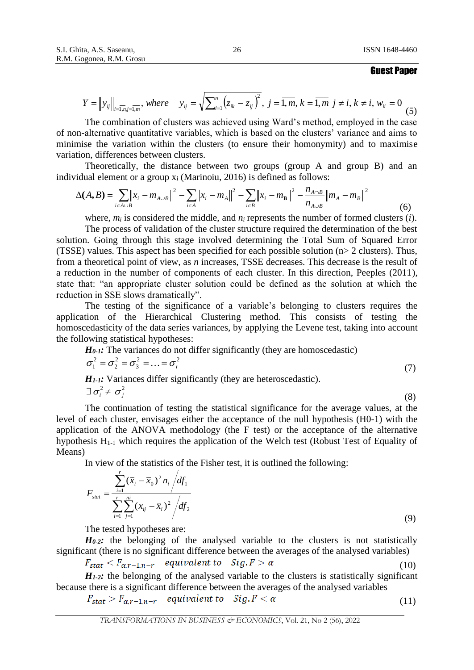$$
Y = \|y_{ij}\|_{i=\overline{1,n},j=\overline{1,m}}, where \quad y_{ij} = \sqrt{\sum_{i=1}^{n} (z_{ik} - z_{ij})^2}, \ j=\overline{1,m}, k=\overline{1,m} \ j \neq i, k \neq i, w_{ii} = 0 \tag{5}
$$

The combination of clusters was achieved using Ward's method, employed in the case of non-alternative quantitative variables, which is based on the clusters' variance and aims to minimise the variation within the clusters (to ensure their homonymity) and to maximise variation, differences between clusters.

Theoretically, the distance between two groups (group A and group B) and an individual element or a group  $x_i$  (Marinoiu, 2016) is defined as follows:

$$
\Delta(A,B) = \sum_{i \in A \cup B} \left\| x_i - m_{A \cup B} \right\|^2 - \sum_{i \in A} \left\| x_i - m_A \right\|^2 - \sum_{i \in B} \left\| x_i - m_B \right\|^2 - \frac{n_{A \cap B}}{n_{A \cup B}} \left\| m_A - m_B \right\|^2 \tag{6}
$$

where,  $m_i$  is considered the middle, and  $n_i$  represents the number of formed clusters  $(i)$ .

The process of validation of the cluster structure required the determination of the best solution. Going through this stage involved determining the Total Sum of Squared Error (TSSE) values. This aspect has been specified for each possible solution (n> 2 clusters). Thus, from a theoretical point of view, as *n* increases, TSSE decreases. This decrease is the result of a reduction in the number of components of each cluster. In this direction, Peeples (2011), state that: "an appropriate cluster solution could be defined as the solution at which the reduction in SSE slows dramatically".

The testing of the significance of a variable's belonging to clusters requires the application of the Hierarchical Clustering method. This consists of testing the homoscedasticity of the data series variances, by applying the Levene test, taking into account the following statistical hypotheses:

*H<sub>0-1</sub>*: The variances do not differ significantly (they are homoscedastic)

$$
\sigma_1^2 = \sigma_2^2 = \sigma_3^2 = \dots = \sigma_r^2
$$
\n
$$
\mathbf{H}_{\text{tot}} \cdot \text{Veriness differs} \text{ is a differently (they are heterogeneous)} \tag{7}
$$

*H*<sub>1</sub>-*I*: Variances differ significantly (they are heteroscedastic).  $\exists \sigma_i^2 \neq \sigma_j^2$ (8)

The continuation of testing the statistical significance for the average values, at the level of each cluster, envisages either the acceptance of the null hypothesis (H0-1) with the application of the ANOVA methodology (the F test) or the acceptance of the alternative hypothesis H1-1 which requires the application of the Welch test (Robust Test of Equality of Means)

In view of the statistics of the Fisher test, it is outlined the following:

$$
F_{\text{stat}} = \frac{\sum_{i=1}^{r} (\bar{x}_i - \bar{x}_0)^2 n_i / df_1}{\sum_{i=1}^{r} \sum_{j=1}^{ni} (x_{ij} - \bar{x}_i)^2 / df_2}
$$
(9)

The tested hypotheses are:

 $H<sub>0-2</sub>$ *:* the belonging of the analysed variable to the clusters is not statistically significant (there is no significant difference between the averages of the analysed variables)

$$
F_{stat} < F_{\alpha,r-1,n-r} \quad \text{equivalent to} \quad \text{Sig.} \, F > \alpha \tag{10}
$$

 $H_1$ -2: the belonging of the analysed variable to the clusters is statistically significant because there is a significant difference between the averages of the analysed variables

$$
F_{stat} > F_{\alpha,r-1,n-r} \quad equivalent \ to \quad Sig.F < \alpha \tag{11}
$$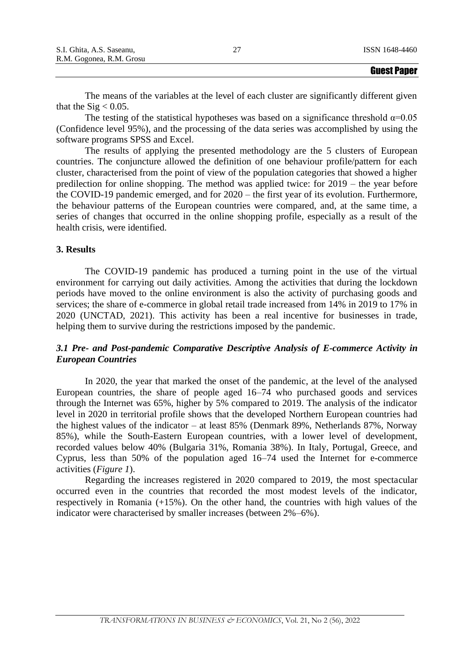|                           | <b>Aussi Bansy</b> |
|---------------------------|--------------------|
| R.M. Gogonea, R.M. Grosu  |                    |
| S.I. Ghita, A.S. Saseanu, | ISSN 1648-4460     |

The means of the variables at the level of each cluster are significantly different given that the  $\text{Sig} < 0.05$ .

The testing of the statistical hypotheses was based on a significance threshold  $\alpha$ =0.05 (Confidence level 95%), and the processing of the data series was accomplished by using the software programs SPSS and Excel.

The results of applying the presented methodology are the 5 clusters of European countries. The conjuncture allowed the definition of one behaviour profile/pattern for each cluster, characterised from the point of view of the population categories that showed a higher predilection for online shopping. The method was applied twice: for 2019 – the year before the COVID-19 pandemic emerged, and for 2020 – the first year of its evolution. Furthermore, the behaviour patterns of the European countries were compared, and, at the same time, a series of changes that occurred in the online shopping profile, especially as a result of the health crisis, were identified.

# **3. Results**

The COVID-19 pandemic has produced a turning point in the use of the virtual environment for carrying out daily activities. Among the activities that during the lockdown periods have moved to the online environment is also the activity of purchasing goods and services; the share of e-commerce in global retail trade increased from 14% in 2019 to 17% in 2020 (UNCTAD, 2021). This activity has been a real incentive for businesses in trade, helping them to survive during the restrictions imposed by the pandemic.

# *3.1 Pre- and Post-pandemic Comparative Descriptive Analysis of E-commerce Activity in European Countries*

In 2020, the year that marked the onset of the pandemic, at the level of the analysed European countries, the share of people aged 16–74 who purchased goods and services through the Internet was 65%, higher by 5% compared to 2019. The analysis of the indicator level in 2020 in territorial profile shows that the developed Northern European countries had the highest values of the indicator – at least 85% (Denmark 89%, Netherlands 87%, Norway 85%), while the South-Eastern European countries, with a lower level of development, recorded values below 40% (Bulgaria 31%, Romania 38%). In Italy, Portugal, Greece, and Cyprus, less than 50% of the population aged 16–74 used the Internet for e-commerce activities (*Figure 1*).

Regarding the increases registered in 2020 compared to 2019, the most spectacular occurred even in the countries that recorded the most modest levels of the indicator, respectively in Romania (+15%). On the other hand, the countries with high values of the indicator were characterised by smaller increases (between 2%–6%).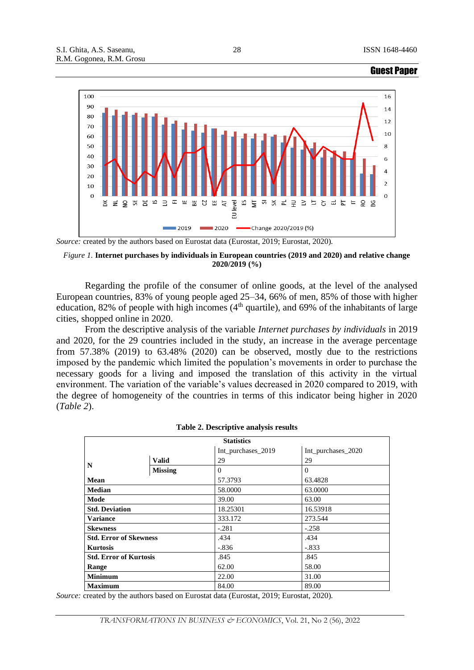

*Source:* created by the authors based on Eurostat data (Eurostat, 2019; Eurostat, 2020).

### *Figure 1.* **Internet purchases by individuals in European countries (2019 and 2020) and relative change 2020/2019 (%)**

Regarding the profile of the consumer of online goods, at the level of the analysed European countries, 83% of young people aged 25–34, 66% of men, 85% of those with higher education, 82% of people with high incomes  $(4<sup>th</sup>$  quartile), and 69% of the inhabitants of large cities, shopped online in 2020.

From the descriptive analysis of the variable *Internet purchases by individuals* in 2019 and 2020, for the 29 countries included in the study, an increase in the average percentage from 57.38% (2019) to 63.48% (2020) can be observed, mostly due to the restrictions imposed by the pandemic which limited the population's movements in order to purchase the necessary goods for a living and imposed the translation of this activity in the virtual environment. The variation of the variable's values decreased in 2020 compared to 2019, with the degree of homogeneity of the countries in terms of this indicator being higher in 2020 (*Table 2*).

| <b>Statistics</b>             |                |                    |                    |  |  |  |
|-------------------------------|----------------|--------------------|--------------------|--|--|--|
|                               |                | Int_purchases_2019 | Int_purchases_2020 |  |  |  |
|                               | <b>Valid</b>   | 29                 | 29                 |  |  |  |
| N                             | <b>Missing</b> | $\Omega$           | $\Omega$           |  |  |  |
| <b>Mean</b>                   |                | 57.3793            | 63.4828            |  |  |  |
| <b>Median</b>                 |                | 58,0000            | 63,0000            |  |  |  |
| Mode                          |                | 39.00              | 63.00              |  |  |  |
| <b>Std. Deviation</b>         |                | 18.25301           | 16.53918           |  |  |  |
| <b>Variance</b>               |                | 333.172            | 273.544            |  |  |  |
| <b>Skewness</b>               |                | $-.281$            | $-.258$            |  |  |  |
| <b>Std. Error of Skewness</b> |                | .434               | .434               |  |  |  |
| <b>Kurtosis</b>               |                | $-.836$            | $-.833$            |  |  |  |
| <b>Std. Error of Kurtosis</b> |                | .845               | .845               |  |  |  |
| Range                         |                | 62.00              | 58.00              |  |  |  |
| <b>Minimum</b>                |                | 22.00              | 31.00              |  |  |  |
| <b>Maximum</b>                |                | 84.00              | 89.00              |  |  |  |

#### **Table 2. Descriptive analysis results**

*Source:* created by the authors based on Eurostat data (Eurostat, 2019; Eurostat, 2020).

28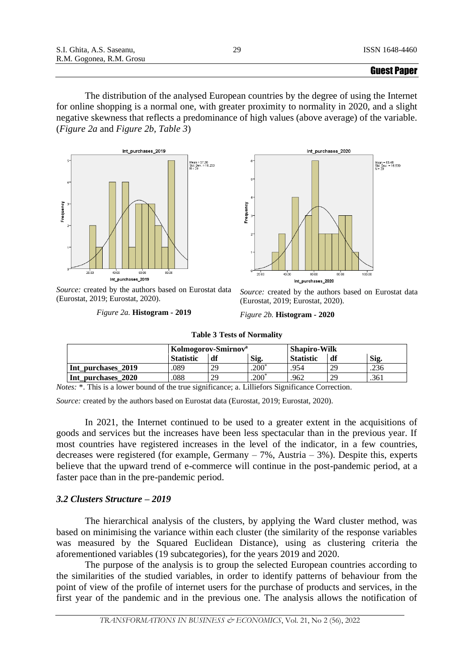The distribution of the analysed European countries by the degree of using the Internet for online shopping is a normal one, with greater proximity to normality in 2020, and a slight negative skewness that reflects a predominance of high values (above average) of the variable. (*Figure 2a* and *Figure 2b, Table 3*)





*Source:* created by the authors based on Eurostat data (Eurostat, 2019; Eurostat, 2020).

*Figure 2a.* **Histogram - 2019**

*Source:* created by the authors based on Eurostat data (Eurostat, 2019; Eurostat, 2020).

*Figure 2b.* **Histogram - 2020**

|                    |                  | Kolmogorov-Smirnov <sup>a</sup> |         | <b>Shapiro-Wilk</b> |    |      |
|--------------------|------------------|---------------------------------|---------|---------------------|----|------|
|                    | <b>Statistic</b> | df                              | Sig.    | <b>Statistic</b>    | df | Sig. |
| Int purchases 2019 | .089             | 29                              | $200*$  | .954                | 29 | .236 |
| Int_purchases_2020 | 088              | 29                              | $200^*$ | .962                | 29 | .361 |

**Table 3 Tests of Normality**

*Notes:* \*. This is a lower bound of the true significance; a. Lilliefors Significance Correction.

*Source:* created by the authors based on Eurostat data (Eurostat, 2019; Eurostat, 2020).

In 2021, the Internet continued to be used to a greater extent in the acquisitions of goods and services but the increases have been less spectacular than in the previous year. If most countries have registered increases in the level of the indicator, in a few countries, decreases were registered (for example, Germany – 7%, Austria – 3%). Despite this, experts believe that the upward trend of e-commerce will continue in the post-pandemic period, at a faster pace than in the pre-pandemic period.

# *3.2 Clusters Structure – 2019*

The hierarchical analysis of the clusters, by applying the Ward cluster method, was based on minimising the variance within each cluster (the similarity of the response variables was measured by the Squared Euclidean Distance), using as clustering criteria the aforementioned variables (19 subcategories), for the years 2019 and 2020.

The purpose of the analysis is to group the selected European countries according to the similarities of the studied variables, in order to identify patterns of behaviour from the point of view of the profile of internet users for the purchase of products and services, in the first year of the pandemic and in the previous one. The analysis allows the notification of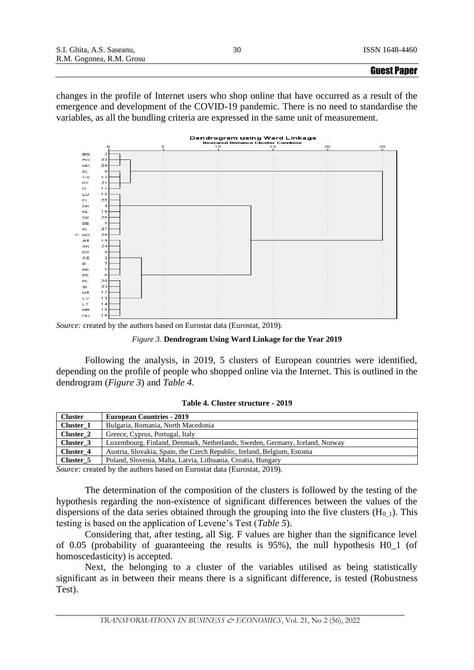changes in the profile of Internet users who shop online that have occurred as a result of the emergence and development of the COVID-19 pandemic. There is no need to standardise the variables, as all the bundling criteria are expressed in the same unit of measurement.



*Source:* created by the authors based on Eurostat data (Eurostat, 2019).



Following the analysis, in 2019, 5 clusters of European countries were identified, depending on the profile of people who shopped online via the Internet. This is outlined in the dendrogram (*Figure 3*) and *Table 4*.

### **Table 4. Cluster structure - 2019**

| <b>Cluster</b> | <b>European Countries - 2019</b>                                            |
|----------------|-----------------------------------------------------------------------------|
| Cluster 1      | Bulgaria, Romania, North Macedonia                                          |
| Cluster 2      | Greece, Cyprus, Portugal, Italy                                             |
| Cluster 3      | Luxembourg, Finland, Denmark, Netherlands, Sweden, Germany, Iceland, Norway |
| Cluster 4      | Austria, Slovakia, Spain, the Czech Republic, Ireland, Belgium, Estonia     |
| Cluster 5      | Poland, Slovenia, Malta, Latvia, Lithuania, Croatia, Hungary                |

*Source:* created by the authors based on Eurostat data (Eurostat, 2019).

The determination of the composition of the clusters is followed by the testing of the hypothesis regarding the non-existence of significant differences between the values of the dispersions of the data series obtained through the grouping into the five clusters  $(H_{0,1})$ . This testing is based on the application of Levene's Test (*Table 5*).

Considering that, after testing, all Sig. F values are higher than the significance level of 0.05 (probability of guaranteeing the results is 95%), the null hypothesis H0\_1 (of homoscedasticity) is accepted.

Next, the belonging to a cluster of the variables utilised as being statistically significant as in between their means there is a significant difference, is tested (Robustness Test).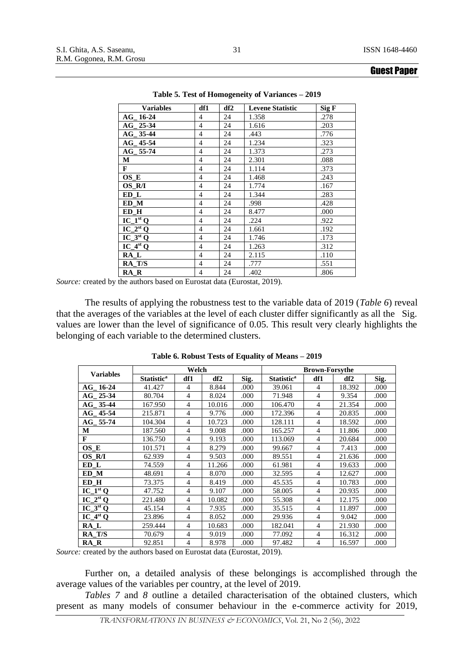| <b>Variables</b>                  | df1            | df2 | <b>Levene Statistic</b> | Sig F |
|-----------------------------------|----------------|-----|-------------------------|-------|
| AG 16-24                          | $\overline{4}$ | 24  | 1.358                   | .278  |
| AG 25-34                          | $\overline{4}$ | 24  | 1.616                   | .203  |
| $AG_{-}$ 35-44                    | $\overline{4}$ | 24  | .443                    | .776  |
| $AG_{-}$ 45-54                    | $\overline{4}$ | 24  | 1.234                   | .323  |
| AG 55-74                          | $\overline{4}$ | 24  | 1.373                   | .273  |
| М                                 | $\overline{4}$ | 24  | 2.301                   | .088  |
| F                                 | $\overline{4}$ | 24  | 1.114                   | .373  |
| $OS$ <sub>E</sub>                 | 4              | 24  | 1.468                   | .243  |
| OS R/I                            | $\overline{4}$ | 24  | 1.774                   | .167  |
| ED L                              | $\overline{4}$ | 24  | 1.344                   | .283  |
| ED M                              | $\overline{4}$ | 24  | .998                    | .428  |
| ED H                              | $\overline{4}$ | 24  | 8.477                   | .000  |
| $IC_1^{st}Q$                      | $\overline{4}$ | 24  | .224                    | .922  |
| $IC_2^{st}Q$                      | $\overline{4}$ | 24  | 1.661                   | .192  |
| $IC_3stQ$                         | $\overline{4}$ | 24  | 1.746                   | .173  |
| $\overline{IC}$ 4 <sup>st</sup> Q | $\overline{4}$ | 24  | 1.263                   | .312  |
| RA L                              | $\overline{4}$ | 24  | 2.115                   | .110  |
| RA T/S                            | $\overline{4}$ | 24  | .777                    | .551  |
| RA R                              | 4              | 24  | .402                    | .806  |

**Table 5. Test of Homogeneity of Variances – 2019**

*Source:* created by the authors based on Eurostat data (Eurostat, 2019).

The results of applying the robustness test to the variable data of 2019 (*Table 6*) reveal that the averages of the variables at the level of each cluster differ significantly as all the Sig. values are lower than the level of significance of 0.05. This result very clearly highlights the belonging of each variable to the determined clusters.

|                                                  |                              | Welch          |                 |      | <b>Brown-Forsythe</b>        |                |                 |      |  |
|--------------------------------------------------|------------------------------|----------------|-----------------|------|------------------------------|----------------|-----------------|------|--|
| <b>Variables</b>                                 | <b>Statistic<sup>a</sup></b> | df1            | df <sub>2</sub> | Sig. | <b>Statistic<sup>a</sup></b> | df1            | df <sub>2</sub> | Sig. |  |
| AG 16-24                                         | 41.427                       | $\overline{4}$ | 8.844           | .000 | 39.061                       | $\overline{4}$ | 18.392          | .000 |  |
| $25 - 34$<br>$\mathbf{A} \mathbf{G}$             | 80.704                       | 4              | 8.024           | .000 | 71.948                       | $\overline{4}$ | 9.354           | .000 |  |
| AG 35-44                                         | 167.950                      | $\overline{4}$ | 10.016          | .000 | 106.470                      | $\overline{4}$ | 21.354          | .000 |  |
| $AG$ 45-54                                       | 215.871                      | 4              | 9.776           | .000 | 172.396                      | $\overline{4}$ | 20.835          | .000 |  |
| AG 55-74                                         | 104.304                      | $\overline{4}$ | 10.723          | .000 | 128.111                      | $\overline{4}$ | 18.592          | .000 |  |
| М                                                | 187.560                      | 4              | 9.008           | .000 | 165.257                      | 4              | 11.806          | .000 |  |
| $\mathbf{F}$                                     | 136.750                      | 4              | 9.193           | .000 | 113.069                      | $\overline{4}$ | 20.684          | .000 |  |
| OS E                                             | 101.571                      | 4              | 8.279           | .000 | 99.667                       | $\overline{4}$ | 7.413           | .000 |  |
| OS R/I                                           | 62.939                       | $\overline{4}$ | 9.503           | .000 | 89.551                       | $\overline{4}$ | 21.636          | .000 |  |
| ED L                                             | 74.559                       | 4              | 11.266          | .000 | 61.981                       | 4              | 19.633          | .000 |  |
| ED M                                             | 48.691                       | 4              | 8.070           | .000 | 32.595                       | $\overline{4}$ | 12.627          | .000 |  |
| ED_H                                             | 73.375                       | $\overline{4}$ | 8.419           | .000 | 45.535                       | $\overline{4}$ | 10.783          | .000 |  |
| $IC_1^{st}$ <sup><math>\overline{O}</math></sup> | 47.752                       | 4              | 9.107           | .000 | 58.005                       | $\overline{4}$ | 20.935          | .000 |  |
| $IC_2^{st}O$                                     | 221.480                      | $\overline{4}$ | 10.082          | .000 | 55.308                       | $\overline{4}$ | 12.175          | .000 |  |
| $IC_3st O$                                       | 45.154                       | 4              | 7.935           | .000 | 35.515                       | 4              | 11.897          | .000 |  |
| $IC_4^{st}$ <sup>Q</sup>                         | 23.896                       | 4              | 8.052           | .000 | 29.936                       | 4              | 9.042           | .000 |  |
| RA L                                             | 259.444                      | 4              | 10.683          | .000 | 182.041                      | $\overline{4}$ | 21.930          | .000 |  |
| RA T/S                                           | 70.679                       | 4              | 9.019           | .000 | 77.092                       | $\overline{4}$ | 16.312          | .000 |  |
| RA R                                             | 92.851                       | 4              | 8.978           | .000 | 97.482                       | $\overline{4}$ | 16.597          | .000 |  |

**Table 6. Robust Tests of Equality of Means – 2019**

*Source:* created by the authors based on Eurostat data (Eurostat, 2019).

Further on, a detailed analysis of these belongings is accomplished through the average values of the variables per country, at the level of 2019.

*Tables 7* and *8* outline a detailed characterisation of the obtained clusters, which present as many models of consumer behaviour in the e-commerce activity for 2019,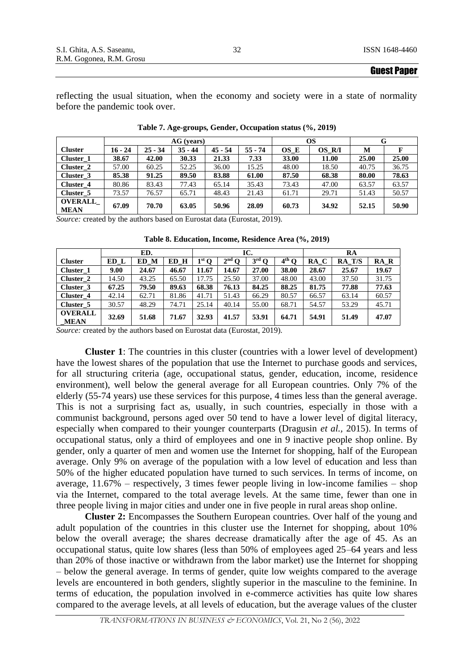reflecting the usual situation, when the economy and society were in a state of normality before the pandemic took over.

|                |           |           | $AG$ (years) |           | OS        |       | G      |       |       |
|----------------|-----------|-----------|--------------|-----------|-----------|-------|--------|-------|-------|
| <b>Cluster</b> | $16 - 24$ | $25 - 34$ | $35 - 44$    | $45 - 54$ | $55 - 74$ | OS E  | OS R/I | M     |       |
| Cluster 1      | 38.67     | 42.00     | 30.33        | 21.33     | 7.33      | 33.00 | 11.00  | 25.00 | 25.00 |
| Cluster 2      | 57.00     | 60.25     | 52.25        | 36.00     | 15.25     | 48.00 | 18.50  | 40.75 | 36.75 |
| Cluster 3      | 85.38     | 91.25     | 89.50        | 83.88     | 61.00     | 87.50 | 68.38  | 80.00 | 78.63 |
| Cluster 4      | 80.86     | 83.43     | 77.43        | 65.14     | 35.43     | 73.43 | 47.00  | 63.57 | 63.57 |
| Cluster 5      | 73.57     | 76.57     | 65.71        | 48.43     | 21.43     | 61.71 | 29.71  | 51.43 | 50.57 |
| <b>OVERALL</b> | 67.09     | 70.70     | 63.05        | 50.96     | 28.09     | 60.73 | 34.92  | 52.15 | 50.90 |
| <b>MEAN</b>    |           |           |              |           |           |       |        |       |       |

**Table 7. Age-groups, Gender, Occupation status (%, 2019)**

*Source:* created by the authors based on Eurostat data (Eurostat, 2019).

**Table 8. Education, Income, Residence Area (%, 2019)**

|                        |       | ED.   |       |         |         | IC.            | RA      |       |        |       |
|------------------------|-------|-------|-------|---------|---------|----------------|---------|-------|--------|-------|
| <b>Cluster</b>         | ED L  | ED M  | ED H  | $1st$ O | $2nd$ O | $3^{\rm rd}$ O | $4th$ O | RA C  | RA T/S | RA R  |
| Cluster 1              | 9.00  | 24.67 | 46.67 | 11.67   | 14.67   | 27.00          | 38.00   | 28.67 | 25.67  | 19.67 |
| Cluster 2              | 14.50 | 43.25 | 65.50 | 17.75   | 25.50   | 37.00          | 48.00   | 43.00 | 37.50  | 31.75 |
| Cluster 3              | 67.25 | 79.50 | 89.63 | 68.38   | 76.13   | 84.25          | 88.25   | 81.75 | 77.88  | 77.63 |
| Cluster 4              | 42.14 | 62.71 | 81.86 | 41.71   | 51.43   | 66.29          | 80.57   | 66.57 | 63.14  | 60.57 |
| Cluster 5              | 30.57 | 48.29 | 74.71 | 25.14   | 40.14   | 55.00          | 68.71   | 54.57 | 53.29  | 45.71 |
| <b>OVERALL</b><br>MEAN | 32.69 | 51.68 | 71.67 | 32.93   | 41.57   | 53.91          | 64.71   | 54.91 | 51.49  | 47.07 |

*Source:* created by the authors based on Eurostat data (Eurostat, 2019).

**Cluster 1**: The countries in this cluster (countries with a lower level of development) have the lowest shares of the population that use the Internet to purchase goods and services, for all structuring criteria (age, occupational status, gender, education, income, residence environment), well below the general average for all European countries. Only 7% of the elderly (55-74 years) use these services for this purpose, 4 times less than the general average. This is not a surprising fact as, usually, in such countries, especially in those with a communist background, persons aged over 50 tend to have a lower level of digital literacy, especially when compared to their younger counterparts (Dragusin *et al.,* 2015). In terms of occupational status, only a third of employees and one in 9 inactive people shop online. By gender, only a quarter of men and women use the Internet for shopping, half of the European average. Only 9% on average of the population with a low level of education and less than 50% of the higher educated population have turned to such services. In terms of income, on average,  $11.67\%$  – respectively, 3 times fewer people living in low-income families – shop via the Internet, compared to the total average levels. At the same time, fewer than one in three people living in major cities and under one in five people in rural areas shop online.

**Cluster 2:** Encompasses the Southern European countries. Over half of the young and adult population of the countries in this cluster use the Internet for shopping, about 10% below the overall average; the shares decrease dramatically after the age of 45. As an occupational status, quite low shares (less than 50% of employees aged 25–64 years and less than 20% of those inactive or withdrawn from the labor market) use the Internet for shopping – below the general average. In terms of gender, quite low weights compared to the average levels are encountered in both genders, slightly superior in the masculine to the feminine. In terms of education, the population involved in e-commerce activities has quite low shares compared to the average levels, at all levels of education, but the average values of the cluster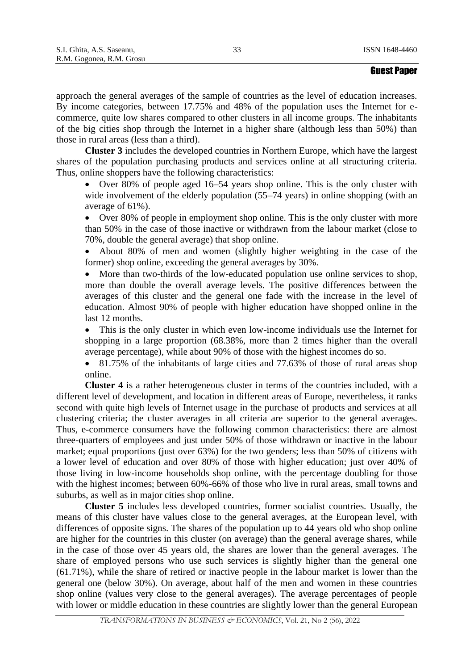approach the general averages of the sample of countries as the level of education increases. By income categories, between 17.75% and 48% of the population uses the Internet for ecommerce, quite low shares compared to other clusters in all income groups. The inhabitants of the big cities shop through the Internet in a higher share (although less than 50%) than those in rural areas (less than a third).

**Cluster 3** includes the developed countries in Northern Europe, which have the largest shares of the population purchasing products and services online at all structuring criteria. Thus, online shoppers have the following characteristics:

• Over 80% of people aged 16–54 years shop online. This is the only cluster with wide involvement of the elderly population (55–74 years) in online shopping (with an average of 61%).

• Over 80% of people in employment shop online. This is the only cluster with more than 50% in the case of those inactive or withdrawn from the labour market (close to 70%, double the general average) that shop online.

• About 80% of men and women (slightly higher weighting in the case of the former) shop online, exceeding the general averages by 30%.

• More than two-thirds of the low-educated population use online services to shop, more than double the overall average levels. The positive differences between the averages of this cluster and the general one fade with the increase in the level of education. Almost 90% of people with higher education have shopped online in the last 12 months.

• This is the only cluster in which even low-income individuals use the Internet for shopping in a large proportion (68.38%, more than 2 times higher than the overall average percentage), while about 90% of those with the highest incomes do so.

• 81.75% of the inhabitants of large cities and 77.63% of those of rural areas shop online.

**Cluster 4** is a rather heterogeneous cluster in terms of the countries included, with a different level of development, and location in different areas of Europe, nevertheless, it ranks second with quite high levels of Internet usage in the purchase of products and services at all clustering criteria; the cluster averages in all criteria are superior to the general averages. Thus, e-commerce consumers have the following common characteristics: there are almost three-quarters of employees and just under 50% of those withdrawn or inactive in the labour market; equal proportions (just over 63%) for the two genders; less than 50% of citizens with a lower level of education and over 80% of those with higher education; just over 40% of those living in low-income households shop online, with the percentage doubling for those with the highest incomes; between 60%-66% of those who live in rural areas, small towns and suburbs, as well as in major cities shop online.

**Cluster 5** includes less developed countries, former socialist countries. Usually, the means of this cluster have values close to the general averages, at the European level, with differences of opposite signs. The shares of the population up to 44 years old who shop online are higher for the countries in this cluster (on average) than the general average shares, while in the case of those over 45 years old, the shares are lower than the general averages. The share of employed persons who use such services is slightly higher than the general one (61.71%), while the share of retired or inactive people in the labour market is lower than the general one (below 30%). On average, about half of the men and women in these countries shop online (values very close to the general averages). The average percentages of people with lower or middle education in these countries are slightly lower than the general European

33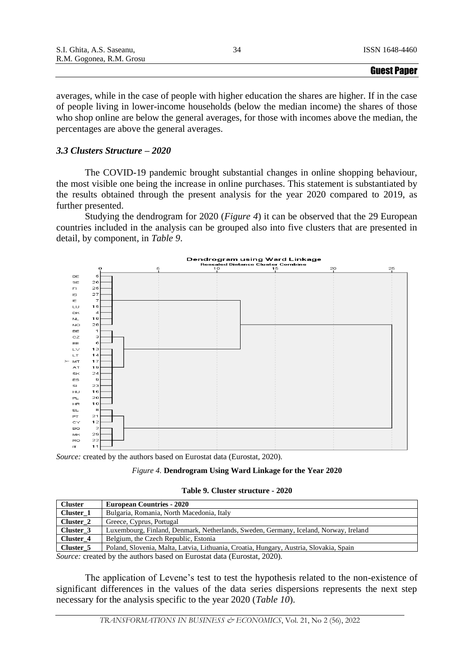|                           | <b>Guest Paper</b> |
|---------------------------|--------------------|
| R.M. Gogonea, R.M. Grosu  |                    |
| S.I. Ghita, A.S. Saseanu, | ISSN 1648-4460     |

averages, while in the case of people with higher education the shares are higher. If in the case of people living in lower-income households (below the median income) the shares of those who shop online are below the general averages, for those with incomes above the median, the percentages are above the general averages.

# *3.3 Clusters Structure – 2020*

The COVID-19 pandemic brought substantial changes in online shopping behaviour, the most visible one being the increase in online purchases. This statement is substantiated by the results obtained through the present analysis for the year 2020 compared to 2019, as further presented.

Studying the dendrogram for 2020 (*Figure 4*) it can be observed that the 29 European countries included in the analysis can be grouped also into five clusters that are presented in detail, by component, in *Table 9*.



*Source:* created by the authors based on Eurostat data (Eurostat, 2020).

| Figure 4. Dendrogram Using Ward Linkage for the Year 2020 |  |  |  |
|-----------------------------------------------------------|--|--|--|
|                                                           |  |  |  |

**Table 9. Cluster structure - 2020**

| <b>Cluster</b> | <b>European Countries - 2020</b>                                                       |
|----------------|----------------------------------------------------------------------------------------|
| Cluster 1      | Bulgaria, Romania, North Macedonia, Italy                                              |
| Cluster 2      | Greece, Cyprus, Portugal                                                               |
| Cluster 3      | Luxembourg, Finland, Denmark, Netherlands, Sweden, Germany, Iceland, Norway, Ireland   |
| Cluster 4      | Belgium, the Czech Republic, Estonia                                                   |
| Cluster 5      | Poland, Slovenia, Malta, Latvia, Lithuania, Croatia, Hungary, Austria, Slovakia, Spain |
|                |                                                                                        |

*Source:* created by the authors based on Eurostat data (Eurostat, 2020).

The application of Levene's test to test the hypothesis related to the non-existence of significant differences in the values of the data series dispersions represents the next step necessary for the analysis specific to the year 2020 (*Table 10*).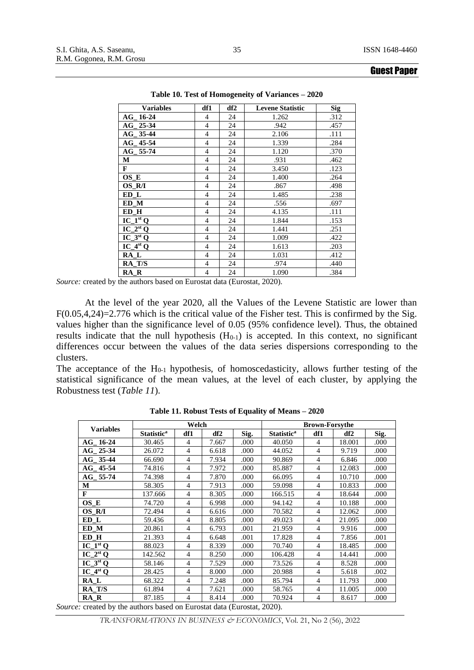| <b>Variables</b>       | df1            | df <sub>2</sub> | <b>Levene Statistic</b> | <b>Sig</b> |
|------------------------|----------------|-----------------|-------------------------|------------|
| $AG_16-24$             | 4              | 24              | 1.262                   | .312       |
| AG 25-34               | 4              | 24              | .942                    | .457       |
| AG 35-44               | $\overline{4}$ | 24              | 2.106                   | .111       |
| $AG$ <sub>-45-54</sub> | $\overline{4}$ | 24              | 1.339                   | .284       |
| AG 55-74               | 4              | 24              | 1.120                   | .370       |
| М                      | $\overline{4}$ | 24              | .931                    | .462       |
| F                      | 4              | 24              | 3.450                   | .123       |
| OS_E                   | 4              | 24              | 1.400                   | .264       |
| OS R/I                 | $\overline{4}$ | 24              | .867                    | .498       |
| ED L                   | $\overline{4}$ | 24              | 1.485                   | .238       |
| ED M                   | $\overline{4}$ | 24              | .556                    | .697       |
| ED H                   | 4              | 24              | 4.135                   | .111       |
| $IC_1^{st}Q$           | 4              | 24              | 1.844                   | .153       |
| $IC_2^{st}Q$           | 4              | 24              | 1.441                   | .251       |
| $IC_3stQ$              | 4              | 24              | 1.009                   | .422       |
| $IC_4^{st}Q$           | $\overline{4}$ | 24              | 1.613                   | .203       |
| $RA_L$                 | 4              | 24              | 1.031                   | .412       |
| RA T/S                 | 4              | 24              | .974                    | .440       |
| RA R                   | $\overline{4}$ | 24              | 1.090                   | .384       |

**Table 10. Test of Homogeneity of Variances – 2020**

*Source:* created by the authors based on Eurostat data (Eurostat, 2020).

At the level of the year 2020, all the Values of the Levene Statistic are lower than F(0.05,4,24)=2.776 which is the critical value of the Fisher test. This is confirmed by the Sig. values higher than the significance level of 0.05 (95% confidence level). Thus, the obtained results indicate that the null hypothesis  $(H<sub>0-1</sub>)$  is accepted. In this context, no significant differences occur between the values of the data series dispersions corresponding to the clusters.

The acceptance of the  $H<sub>0-1</sub>$  hypothesis, of homoscedasticity, allows further testing of the statistical significance of the mean values, at the level of each cluster, by applying the Robustness test (*Table 11*).

|                  |                              | Welch          |       |      |                              | <b>Brown-Forsythe</b> |        |      |  |
|------------------|------------------------------|----------------|-------|------|------------------------------|-----------------------|--------|------|--|
| <b>Variables</b> | <b>Statistic<sup>a</sup></b> | df1            | df2   | Sig. | <b>Statistic<sup>a</sup></b> | df1                   | df2    | Sig. |  |
| AG 16-24         | 30.465                       | 4              | 7.667 | .000 | 40.050                       | $\overline{4}$        | 18.001 | .000 |  |
| AG 25-34         | 26.072                       | 4              | 6.618 | .000 | 44.052                       | $\overline{4}$        | 9.719  | .000 |  |
| AG 35-44         | 66.690                       | 4              | 7.934 | .000 | 90.869                       | 4                     | 6.846  | .000 |  |
| $AG - 45 - 54$   | 74.816                       | 4              | 7.972 | .000 | 85.887                       | $\overline{4}$        | 12.083 | .000 |  |
| AG 55-74         | 74.398                       | 4              | 7.870 | .000 | 66.095                       | $\overline{4}$        | 10.710 | .000 |  |
| М                | 58.305                       | 4              | 7.913 | .000 | 59.098                       | $\overline{4}$        | 10.833 | .000 |  |
| F                | 137.666                      | 4              | 8.305 | .000 | 166.515                      | $\overline{4}$        | 18.644 | .000 |  |
| OS E             | 74.720                       | 4              | 6.998 | .000 | 94.142                       | $\overline{4}$        | 10.188 | .000 |  |
| OS R/I           | 72.494                       | 4              | 6.616 | .000 | 70.582                       | $\overline{4}$        | 12.062 | .000 |  |
| ED L             | 59.436                       | $\overline{4}$ | 8.805 | .000 | 49.023                       | $\overline{4}$        | 21.095 | .000 |  |
| ED M             | 20.861                       | 4              | 6.793 | .001 | 21.959                       | $\overline{4}$        | 9.916  | .000 |  |
| ED_H             | 21.393                       | $\overline{4}$ | 6.648 | .001 | 17.828                       | $\overline{4}$        | 7.856  | .001 |  |
| $IC_1^{st}Q$     | 88.023                       | 4              | 8.339 | .000 | 70.740                       | $\overline{4}$        | 18.485 | .000 |  |
| $IC_2^{st}Q$     | 142.562                      | 4              | 8.250 | .000 | 106.428                      | $\overline{4}$        | 14.441 | .000 |  |
| $IC_3st Q$       | 58.146                       | 4              | 7.529 | .000 | 73.526                       | $\overline{4}$        | 8.528  | .000 |  |
| $IC_4stQ$        | 28.425                       | $\overline{4}$ | 8.000 | .000 | 20.988                       | $\overline{4}$        | 5.618  | .002 |  |
| RA L             | 68.322                       | 4              | 7.248 | .000 | 85.794                       | $\overline{4}$        | 11.793 | .000 |  |
| RA T/S           | 61.894                       | $\overline{4}$ | 7.621 | .000 | 58.765                       | 4                     | 11.005 | .000 |  |
| RA R             | 87.185                       | 4              | 8.414 | .000 | 70.924                       | 4                     | 8.617  | .000 |  |

**Table 11. Robust Tests of Equality of Means – 2020**

*Source:* created by the authors based on Eurostat data (Eurostat, 2020).

*TRANSFORMATIONS IN BUSINESS & ECONOMICS*, Vol. 21, No 2 (56), 2022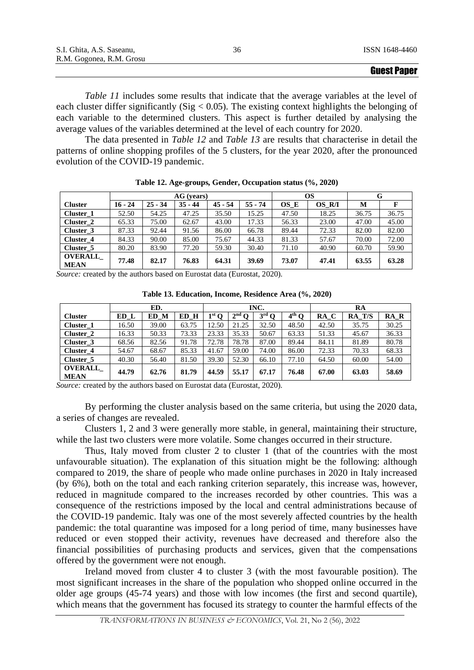|                           |    | <b>Guest Paper</b> |
|---------------------------|----|--------------------|
| R.M. Gogonea, R.M. Grosu  |    |                    |
| S.I. Ghita, A.S. Saseanu, | 36 | ISSN 1648-4460     |

*Table 11* includes some results that indicate that the average variables at the level of each cluster differ significantly (Sig  $< 0.05$ ). The existing context highlights the belonging of each variable to the determined clusters. This aspect is further detailed by analysing the average values of the variables determined at the level of each country for 2020.

The data presented in *Table 12* and *Table 13* are results that characterise in detail the patterns of online shopping profiles of the 5 clusters, for the year 2020, after the pronounced evolution of the COVID-19 pandemic.

|                               | AG (years) |           |           |           |           |       | <b>OS</b> | G     |       |
|-------------------------------|------------|-----------|-----------|-----------|-----------|-------|-----------|-------|-------|
| <b>Cluster</b>                | $16 - 24$  | $25 - 34$ | $35 - 44$ | $45 - 54$ | $55 - 74$ | OS E  | OS R/I    | M     |       |
| Cluster 1                     | 52.50      | 54.25     | 47.25     | 35.50     | 15.25     | 47.50 | 18.25     | 36.75 | 36.75 |
| Cluster 2                     | 65.33      | 75.00     | 62.67     | 43.00     | 17.33     | 56.33 | 23.00     | 47.00 | 45.00 |
| Cluster 3                     | 87.33      | 92.44     | 91.56     | 86.00     | 66.78     | 89.44 | 72.33     | 82.00 | 82.00 |
| Cluster 4                     | 84.33      | 90.00     | 85.00     | 75.67     | 44.33     | 81.33 | 57.67     | 70.00 | 72.00 |
| Cluster 5                     | 80.20      | 83.90     | 77.20     | 59.30     | 30.40     | 71.10 | 40.90     | 60.70 | 59.90 |
| <b>OVERALL</b><br><b>MEAN</b> | 77.48      | 82.17     | 76.83     | 64.31     | 39.69     | 73.07 | 47.41     | 63.55 | 63.28 |

**Table 12. Age-groups, Gender, Occupation status (%, 2020)**

*Source:* created by the authors based on Eurostat data (Eurostat, 2020).

**Table 13. Education, Income, Residence Area (%, 2020)**

|                | ED.   |       |       | INC.    |                   |                |         | RA    |        |       |
|----------------|-------|-------|-------|---------|-------------------|----------------|---------|-------|--------|-------|
| <b>Cluster</b> | ED L  | ED M  | ED H  | $1st$ O | $2^{\text{nd}}$ O | $3^{\rm rd}$ O | $4th$ O | RA C  | RA T/S | RA R  |
| Cluster 1      | 16.50 | 39.00 | 63.75 | 12.50   | 21.25             | 32.50          | 48.50   | 42.50 | 35.75  | 30.25 |
| Cluster 2      | 16.33 | 50.33 | 73.33 | 23.33   | 35.33             | 50.67          | 63.33   | 51.33 | 45.67  | 36.33 |
| Cluster 3      | 68.56 | 82.56 | 91.78 | 72.78   | 78.78             | 87.00          | 89.44   | 84.11 | 81.89  | 80.78 |
| Cluster 4      | 54.67 | 68.67 | 85.33 | 41.67   | 59.00             | 74.00          | 86.00   | 72.33 | 70.33  | 68.33 |
| Cluster 5      | 40.30 | 56.40 | 81.50 | 39.30   | 52.30             | 66.10          | 77.10   | 64.50 | 60.00  | 54.00 |
| <b>OVERALL</b> | 44.79 | 62.76 | 81.79 | 44.59   | 55.17             | 67.17          | 76.48   | 67.00 | 63.03  | 58.69 |
| <b>MEAN</b>    |       |       |       |         |                   |                |         |       |        |       |

*Source:* created by the authors based on Eurostat data (Eurostat, 2020).

By performing the cluster analysis based on the same criteria, but using the 2020 data, a series of changes are revealed.

Clusters 1, 2 and 3 were generally more stable, in general, maintaining their structure, while the last two clusters were more volatile. Some changes occurred in their structure.

Thus, Italy moved from cluster 2 to cluster 1 (that of the countries with the most unfavourable situation). The explanation of this situation might be the following: although compared to 2019, the share of people who made online purchases in 2020 in Italy increased (by 6%), both on the total and each ranking criterion separately, this increase was, however, reduced in magnitude compared to the increases recorded by other countries. This was a consequence of the restrictions imposed by the local and central administrations because of the COVID-19 pandemic. Italy was one of the most severely affected countries by the health pandemic: the total quarantine was imposed for a long period of time, many businesses have reduced or even stopped their activity, revenues have decreased and therefore also the financial possibilities of purchasing products and services, given that the compensations offered by the government were not enough.

Ireland moved from cluster 4 to cluster 3 (with the most favourable position). The most significant increases in the share of the population who shopped online occurred in the older age groups (45-74 years) and those with low incomes (the first and second quartile), which means that the government has focused its strategy to counter the harmful effects of the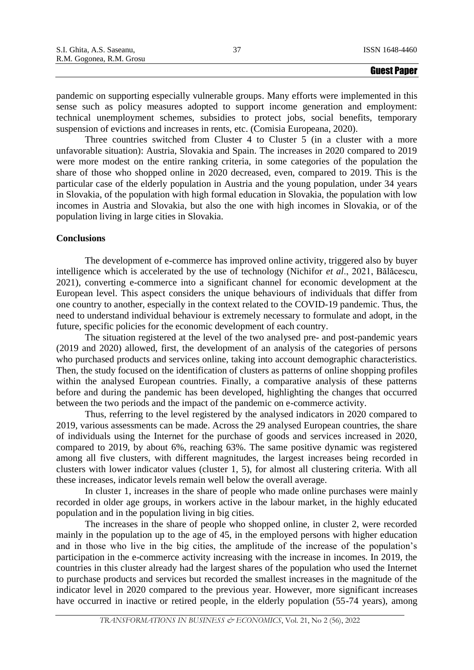pandemic on supporting especially vulnerable groups. Many efforts were implemented in this sense such as policy measures adopted to support income generation and employment: technical unemployment schemes, subsidies to protect jobs, social benefits, temporary suspension of evictions and increases in rents, etc. (Comisia Europeana, 2020).

Three countries switched from Cluster 4 to Cluster 5 (in a cluster with a more unfavorable situation): Austria, Slovakia and Spain. The increases in 2020 compared to 2019 were more modest on the entire ranking criteria, in some categories of the population the share of those who shopped online in 2020 decreased, even, compared to 2019. This is the particular case of the elderly population in Austria and the young population, under 34 years in Slovakia, of the population with high formal education in Slovakia, the population with low incomes in Austria and Slovakia, but also the one with high incomes in Slovakia, or of the population living in large cities in Slovakia.

# **Conclusions**

The development of e-commerce has improved online activity, triggered also by buyer intelligence which is accelerated by the use of technology (Nichifor *et al*., 2021, Bălăcescu, 2021), converting e-commerce into a significant channel for economic development at the European level. This aspect considers the unique behaviours of individuals that differ from one country to another, especially in the context related to the COVID-19 pandemic. Thus, the need to understand individual behaviour is extremely necessary to formulate and adopt, in the future, specific policies for the economic development of each country.

The situation registered at the level of the two analysed pre- and post-pandemic years (2019 and 2020) allowed, first, the development of an analysis of the categories of persons who purchased products and services online, taking into account demographic characteristics. Then, the study focused on the identification of clusters as patterns of online shopping profiles within the analysed European countries. Finally, a comparative analysis of these patterns before and during the pandemic has been developed, highlighting the changes that occurred between the two periods and the impact of the pandemic on e-commerce activity.

Thus, referring to the level registered by the analysed indicators in 2020 compared to 2019, various assessments can be made. Across the 29 analysed European countries, the share of individuals using the Internet for the purchase of goods and services increased in 2020, compared to 2019, by about 6%, reaching 63%. The same positive dynamic was registered among all five clusters, with different magnitudes, the largest increases being recorded in clusters with lower indicator values (cluster 1, 5), for almost all clustering criteria. With all these increases, indicator levels remain well below the overall average.

In cluster 1, increases in the share of people who made online purchases were mainly recorded in older age groups, in workers active in the labour market, in the highly educated population and in the population living in big cities.

The increases in the share of people who shopped online, in cluster 2, were recorded mainly in the population up to the age of 45, in the employed persons with higher education and in those who live in the big cities, the amplitude of the increase of the population's participation in the e-commerce activity increasing with the increase in incomes. In 2019, the countries in this cluster already had the largest shares of the population who used the Internet to purchase products and services but recorded the smallest increases in the magnitude of the indicator level in 2020 compared to the previous year. However, more significant increases have occurred in inactive or retired people, in the elderly population (55-74 years), among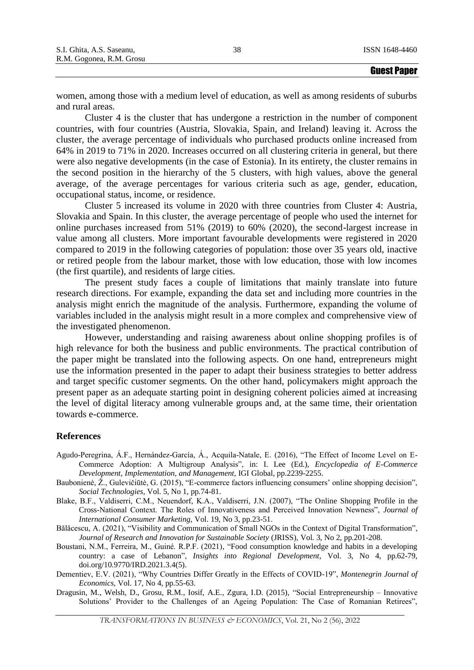women, among those with a medium level of education, as well as among residents of suburbs and rural areas.

Cluster 4 is the cluster that has undergone a restriction in the number of component countries, with four countries (Austria, Slovakia, Spain, and Ireland) leaving it. Across the cluster, the average percentage of individuals who purchased products online increased from 64% in 2019 to 71% in 2020. Increases occurred on all clustering criteria in general, but there were also negative developments (in the case of Estonia). In its entirety, the cluster remains in the second position in the hierarchy of the 5 clusters, with high values, above the general average, of the average percentages for various criteria such as age, gender, education, occupational status, income, or residence.

Cluster 5 increased its volume in 2020 with three countries from Cluster 4: Austria, Slovakia and Spain. In this cluster, the average percentage of people who used the internet for online purchases increased from 51% (2019) to 60% (2020), the second-largest increase in value among all clusters. More important favourable developments were registered in 2020 compared to 2019 in the following categories of population: those over 35 years old, inactive or retired people from the labour market, those with low education, those with low incomes (the first quartile), and residents of large cities.

The present study faces a couple of limitations that mainly translate into future research directions. For example, expanding the data set and including more countries in the analysis might enrich the magnitude of the analysis. Furthermore, expanding the volume of variables included in the analysis might result in a more complex and comprehensive view of the investigated phenomenon.

However, understanding and raising awareness about online shopping profiles is of high relevance for both the business and public environments. The practical contribution of the paper might be translated into the following aspects. On one hand, entrepreneurs might use the information presented in the paper to adapt their business strategies to better address and target specific customer segments. On the other hand, policymakers might approach the present paper as an adequate starting point in designing coherent policies aimed at increasing the level of digital literacy among vulnerable groups and, at the same time, their orientation towards e-commerce.

#### **References**

- Agudo-Peregrina, Á.F., Hernández-García, Á., Acquila-Natale, E. (2016), "The Effect of Income Level on E-Commerce Adoption: A Multigroup Analysis", in: I. Lee (Ed.), *Encyclopedia of E-Commerce Development, Implementation, and Management,* IGI Global, pp.2239-2255.
- Baubonienė, Ž., Gulevičiūtė, G. (2015), "E-commerce factors influencing consumers' online shopping decision", *Social Technologies*, Vol. 5, No 1, pp.74-81.
- Blake, B.F., Valdiserri, C.M., Neuendorf, K.A., Valdiserri, J.N. (2007), "The Online Shopping Profile in the Cross-National Context. The Roles of Innovativeness and Perceived Innovation Newness", *Journal of International Consumer Marketing*, Vol. 19, No 3, pp.23-51.
- Bălăcescu, A. (2021), "Visibility and Communication of Small NGOs in the Context of Digital Transformation", *Journal of Research and Innovation for Sustainable Society* (JRISS), Vol. 3, No 2, pp.201-208.
- Boustani, N.M., Ferreira, M., Guiné. R.P.F. (2021), "Food consumption knowledge and habits in a developing country: a case of Lebanon", *Insights into Regional Development*, Vol. 3, No 4, pp.62-79, doi.org/10.9770/IRD.2021.3.4(5).
- Dementiev, E.V. (2021), "Why Countries Differ Greatly in the Effects of COVID-19", *Montenegrin Journal of Economics*, Vol. 17, No 4, pp.55-63.
- Dragusin, M., Welsh, D., Grosu, R.M., Iosif, A.E., Zgura, I.D. (2015), "Social Entrepreneurship Innovative Solutions' Provider to the Challenges of an Ageing Population: The Case of Romanian Retirees",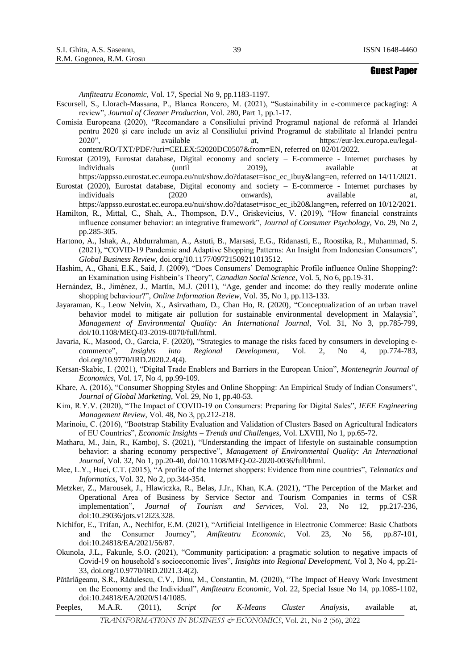*Amfiteatru Economic*, Vol. 17, Special No 9, pp.1183-1197.

- Escursell, S., Llorach-Massana, P., Blanca Roncero, M. (2021), "Sustainability in e-commerce packaging: A review", *Journal of Cleaner Production*, Vol. 280, Part 1, pp.1-17.
- Comisia Europeana (2020), "Recomandare a Consiliului privind Programul național de reformă al Irlandei pentru 2020 și care include un aviz al Consiliului privind Programul de stabilitate al Irlandei pentru 2020", available at, https://eur-lex.europa.eu/legalcontent/RO/TXT/PDF/?uri=CELEX:52020DC0507&from=EN, referred on 02/01/2022.
- Eurostat (2019), Eurostat database, Digital economy and society E-commerce Internet purchases by individuals (until 2019), available at
- https://appsso.eurostat.ec.europa.eu/nui/show.do?dataset=isoc\_ec\_ibuy&lang=en, referred on 14/11/2021. Eurostat (2020), Eurostat database, Digital economy and society – E-commerce - Internet purchases by individuals (2020 onwards), available at,

- Hamilton, R., Mittal, C., Shah, A., Thompson, D.V., Griskevicius, V. (2019), "How financial constraints influence consumer behavior: an integrative framework", *Journal of Consumer Psychology*, Vo. 29, No 2, pp.285-305.
- Hartono, A., Ishak, A., Abdurrahman, A., Astuti, B., Marsasi, E.G., Ridanasti, E., Roostika, R., Muhammad, S. (2021), "COVID-19 Pandemic and Adaptive Shopping Patterns: An Insight from Indonesian Consumers", *Global Business Review,* doi.org/10.1177/09721509211013512.
- Hashim, A., Ghani, E.K., Said, J. (2009), "Does Consumers' Demographic Profile influence Online Shopping?: an Examination using Fishbein's Theory", *Canadian Social Science*, Vol. 5, No 6, pp.19-31.
- Hernández, B., Jiménez, J., Martín, M.J. (2011), "Age, gender and income: do they really moderate online shopping behaviour?", *Online Information Review*, Vol. 35, No 1, pp.113-133.
- Jayaraman, K., Leow Nelvin, X., Asirvatham, D., Chan Ho, R. (2020), "Conceptualization of an urban travel behavior model to mitigate air pollution for sustainable environmental development in Malaysia", *Management of Environmental Quality: An International Journal*, Vol. 31, No 3, pp.785-799, doi/10.1108/MEQ-03-2019-0070/full/html.
- Javaria, K., Masood, O., Garcia, F. (2020), "Strategies to manage the risks faced by consumers in developing ecommerce", *Insights into Regional Development*, Vol. 2, No 4, pp.774-783, doi.org/10.9770/IRD.2020.2.4(4).
- Kersan-Skabic, I. (2021), "Digital Trade Enablers and Barriers in the European Union", *Montenegrin Journal of Economics*, Vol. 17, No 4, pp.99-109.
- Khare, A. (2016), "Consumer Shopping Styles and Online Shopping: An Empirical Study of Indian Consumers", *Journal of Global Marketing*, Vol. 29, No 1, pp.40-53.
- Kim, R.Y.V. (2020), "The Impact of COVID-19 on Consumers: Preparing for Digital Sales", *IEEE Engineering Management Review*, Vol. 48, No 3, pp.212-218.
- Marinoiu, C. (2016), "Bootstrap Stability Evaluation and Validation of Clusters Based on Agricultural Indicators of EU Countries", *Economic Insights – Trends and Challenges*, Vol. LXVIII, No 1, pp.65-72.
- Matharu, M., Jain, R., Kamboj, S. (2021), "Understanding the impact of lifestyle on sustainable consumption behavior: a sharing economy perspective", *Management of Environmental Quality: An International Journal*, Vol. 32, No 1, pp.20-40, doi/10.1108/MEQ-02-2020-0036/full/html.
- Mee, L.Y., Huei, C.T. (2015), "A profile of the Internet shoppers: Evidence from nine countries", *Telematics and Informatics*, Vol. 32, No 2, pp.344-354.
- Metzker, Z., Marousek, J., Hlawiczka, R., Belas, J.Jr., Khan, K.A. (2021), "The Perception of the Market and Operational Area of Business by Service Sector and Tourism Companies in terms of CSR implementation", *Journal of Tourism and Services*, Vol. 23, No 12, pp.217-236, doi:10.29036/jots.v12i23.328.
- Nichifor, E., Trifan, A., Nechifor, E.M. (2021), "Artificial Intelligence in Electronic Commerce: Basic Chatbots and the Consumer Journey", *Amfiteatru Economic*, Vol. 23, No 56, pp.87-101, doi:10.24818/EA/2021/56/87.
- Okunola, J.L., Fakunle, S.O. (2021), "Community participation: a pragmatic solution to negative impacts of Covid-19 on household's socioeconomic lives", *Insights into Regional Development*, Vol 3, No 4, pp.21- 33, doi.org/10.9770/IRD.2021.3.4(2).
- Pătărlăgeanu, S.R., Rădulescu, C.V., Dinu, M., Constantin, M. (2020), "The Impact of Heavy Work Investment on the Economy and the Individual", *Amfiteatru Economic*, Vol. 22, Special Issue No 14, pp.1085-1102, doi:10.24818/EA/2020/S14/1085.
- Peeples, M.A.R. (2011), *Script for K-Means Cluster Analysis*, available at,

https://appsso.eurostat.ec.europa.eu/nui/show.do?dataset=isoc\_ec\_ib20&lang=en**,** referred on 10/12/2021.